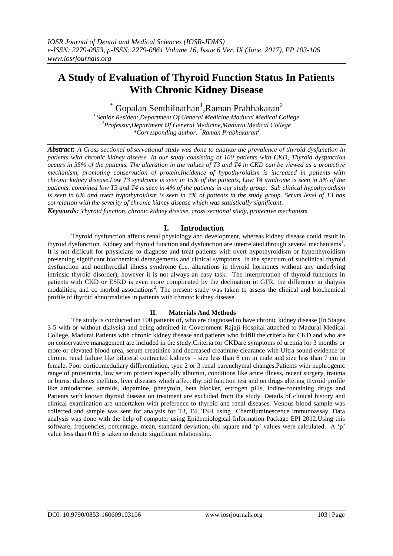# **A Study of Evaluation of Thyroid Function Status In Patients With Chronic Kidney Disease**

 $^*$  Gopalan Senthilnathan<sup>1</sup>, Raman Prabhakaran<sup>2</sup>

*1 Senior Resident,Department Of General Medicine,Madurai Medical College <sup>2</sup>Professor,Department Of General Medicine,Madurai Medical College \*Corresponding author: \*Raman Prabhakaran<sup>2</sup>*

*Abstract: A Cross sectional observational study was done to analyze the prevalence of thyroid dysfunction in patients with chronic kidney disease. In our study consisting of 100 patients with CKD, Thyroid dysfunction occurs in 35% of the patients. The alteration in the values of T3 and T4 in CKD can be viewed as a protective mechanism, promoting conservation of protein.Incidence of hypothyroidism is increased in patients with chronic kidney disease.Low T3 syndrome is seen in 15% of the patients, Low T4 syndrome is seen in 3% of the patients, combined low T3 and T4 is seen in 4% of the patients in our study group. Sub clinical hypothyroidism is seen in 6% and overt hypothyroidism is seen in 7% of patients in the study group. Serum level of T3 has correlation with the severity of chronic kidney disease which was statistically significant.*

*Keywords: Thyroid function, chronic kidney disease, cross sectional study, protective mechanism*

# **I. Introduction**

Thyroid dysfunction affects renal physiology and development, whereas kidney disease could result in thyroid dysfunction. Kidney and thyroid function and dysfunction are interrelated through several mechanisms<sup>1</sup>. It is not difficult for physicians to diagnose and treat patients with overt hypothyroidism or hyperthyroidism presenting significant biochemical derangements and clinical symptoms. In the spectrum of subclinical thyroid dysfunction and nonthyrodial illness syndrome (i.e. alterations in thyroid hormones without any underlying intrinsic thyroid disorder), however it is not always an easy task. The interpretation of thyroid functions in patients with CKD or ESRD is even more complicated by the declination in GFR, the difference in dialysis modalities, and co morbid associations<sup>2</sup>. The present study was taken to assess the clinical and biochemical profile of thyroid abnormalities in patients with chronic kidney disease.

#### **II. Materials And Methods**

The study is conducted on 100 patients of, who are diagnosed to have chronic kidney disease (In Stages 3-5 with or without dialysis) and being admitted in Government Rajaji Hospital attached to Madurai Medical College, Madurai.Patients with chronic kidney disease and patients who fulfill the criteria for CKD and who are on conservative management are included in the study.Criteria for CKDare symptoms of uremia for 3 months or more or elevated blood urea, serum creatinine and decreased creatinine clearance with Ultra sound evidence of chronic renal failure like bilateral contracted kidneys – size less than 8 cm in male and size less than 7 cm in female, Poor corticomedullary differentiation, type 2 or 3 renal parenchymal changes.Patients with nephrogenic range of proteinuria, low serum protein especially albumin, conditions like acute illness, recent surgery, trauma or burns, diabetes mellitus, liver diseases which affect thyroid function test and on drugs altering thyroid profile like amiodarone, steroids, dopamine, phenytoin, beta blocker, estrogen pills, iodine-containing drugs and Patients with known thyroid disease on treatment are excluded from the study. Details of clinical history and clinical examination are undertaken with preference to thyroid and renal diseases. Venous blood sample was collected and sample was sent for analysis for T3, T4, TSH using Chemiluminescence immunoassay. Data analysis was done with the help of computer using Epidemiological Information Package EPI 2012.Using this software, frequencies, percentage, mean, standard deviation, chi square and "p" values were calculated. A "p" value less than 0.05 is taken to denote significant relationship.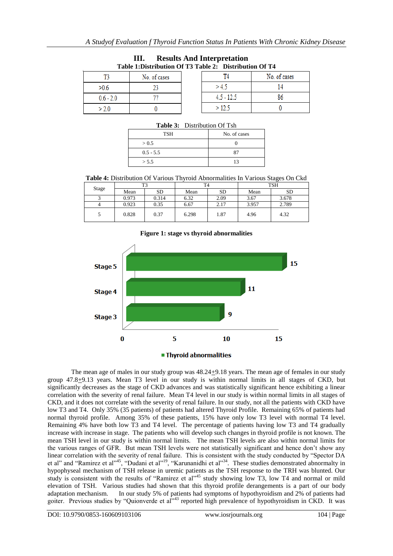| TANIV TID MULINAVIOIL OL TV TANIV EI D'ANITINAVIOIL OL T I |              |              |              |  |  |  |
|------------------------------------------------------------|--------------|--------------|--------------|--|--|--|
|                                                            | No. of cases |              | No. of cases |  |  |  |
| >0.6                                                       |              | >4.5         |              |  |  |  |
| $0.6 - 2.0$                                                |              | $4.5 - 12.5$ |              |  |  |  |
| >2.0                                                       |              | >12.5        |              |  |  |  |

| <b>Results And Interpretation</b>                      |  |
|--------------------------------------------------------|--|
| Table 1:Distribution Of T3 Table 2: Distribution Of T4 |  |

| <b>Table 3:</b> Distribution Of Tsh |              |  |  |  |
|-------------------------------------|--------------|--|--|--|
| TSH                                 | No. of cases |  |  |  |
| > 0.5                               |              |  |  |  |
| $0.5 - 5.5$                         | 87           |  |  |  |
| > 5.5                               | 13           |  |  |  |

### **Table 3:** Distribution Of Tsh

**Table 4:** Distribution Of Various Thyroid Abnormalities In Various Stages On Ckd

| Stage | T3    |       | T4    |           | <b>TSH</b> |           |
|-------|-------|-------|-------|-----------|------------|-----------|
|       | Mean  | SD    | Mean  | <b>SD</b> | Mean       | <b>SD</b> |
|       | 0.973 | 0.314 | 6.32  | 2.09      | 3.67       | 3.678     |
| 4     | 0.923 | 0.35  | 6.67  | 2.17      | 3.957      | 2.789     |
|       | 0.828 | 0.37  | 6.298 | 1.87      | 4.96       | 4.32      |

# **Figure 1: stage vs thyroid abnormalities**



The mean age of males in our study group was  $48.24 \pm 9.18$  years. The mean age of females in our study group 47.8+9.13 years. Mean T3 level in our study is within normal limits in all stages of CKD, but significantly decreases as the stage of CKD advances and was statistically significant hence exhibiting a linear correlation with the severity of renal failure. Mean T4 level in our study is within normal limits in all stages of CKD, and it does not correlate with the severity of renal failure. In our study, not all the patients with CKD have low T3 and T4. Only 35% (35 patients) of patients had altered Thyroid Profile. Remaining 65% of patients had normal thyroid profile. Among 35% of these patients, 15% have only low T3 level with normal T4 level. Remaining 4% have both low T3 and T4 level. The percentage of patients having low T3 and T4 gradually increase with increase in stage. The patients who will develop such changes in thyroid profile is not known. The mean TSH level in our study is within normal limits. The mean TSH levels are also within normal limits for the various ranges of GFR. But mean TSH levels were not statistically significant and hence don"t show any linear correlation with the severity of renal failure. This is consistent with the study conducted by "Spector DA et al" and "Ramirez et al"<sup>45</sup>, "Dudani et al"<sup>19</sup>, "Karunanidhi et al"<sup>34</sup>. These studies demonstrated abnormalty in hypophyseal mechanism of TSH release in uremic patients as the TSH response to the TRH was blunted. Our study is consistent with the results of "Ramirez et al"<sup>45</sup> study showing low T3, low T4 and normal or mild elevation of TSH. Various studies had shown that this thyroid profile derangements is a part of our body adaptation mechanism. In our study 5% of patients had symptoms of hypothyroidism and 2% of patients had goiter. Previous studies by "Quionverde et al"<sup>43</sup> reported high prevalence of hypothyroidism in CKD. It was

DOI: 10.9790/0853-160609103106 www.iosrjournals.org 104 | Page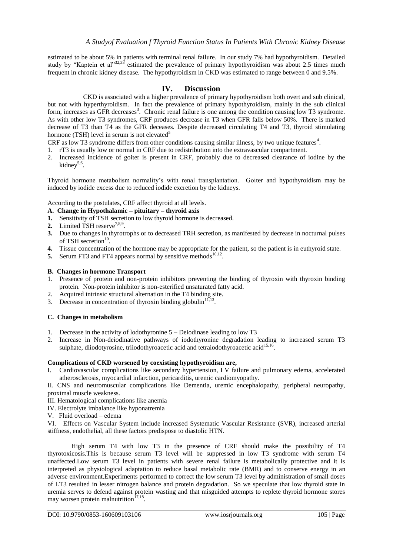estimated to be about 5% in patients with terminal renal failure. In our study 7% had hypothyroidism. Detailed study by "Kaptein et al" $32,33$  estimated the prevalence of primary hypothyroidism was about 2.5 times much frequent in chronic kidney disease. The hypothyroidism in CKD was estimated to range between 0 and 9.5%.

# **IV. Discussion**

CKD is associated with a higher prevalence of primary hypothyroidism both overt and sub clinical, but not with hyperthyroidism. In fact the prevalence of primary hypothyroidism, mainly in the sub clinical form, increases as GFR decreases<sup>3</sup>. Chronic renal failure is one among the condition causing low T3 syndrome. As with other low T3 syndromes, CRF produces decrease in T3 when GFR falls below 50%. There is marked decrease of T3 than T4 as the GFR deceases. Despite decreased circulating T4 and T3, thyroid stimulating hormone (TSH) level in serum is not elevated<sup>5</sup>

CRF as low T3 syndrome differs from other conditions causing similar illness, by two unique features<sup>4</sup>.

- 1. rT3 is usually low or normal in CRF due to redistribution into the extravascular compartment.
- 2. Increased incidence of goiter is present in CRF, probably due to decreased clearance of iodine by the kidney<sup>5,6</sup>.

Thyroid hormone metabolism normality"s with renal transplantation. Goiter and hypothyroidism may be induced by iodide excess due to reduced iodide excretion by the kidneys.

According to the postulates, CRF affect thyroid at all levels.

- **A. Change in Hypothalamic – pituitary – thyroid axis**
- **1.** Sensitivity of TSH secretion to low thyroid hormone is decreased.
- **2.** Limited TSH reserve<sup>7,8,9</sup>.
- **3.** Due to changes in thyrotrophs or to decreased TRH secretion, as manifested by decrease in nocturnal pulses of TSH secretion<sup>10</sup>.
- **4.** Tissue concentration of the hormone may be appropriate for the patient, so the patient is in euthyroid state.
- **5.** Serum FT3 and FT4 appears normal by sensitive methods  $10,12$ .

## **B. Changes in hormone Transport**

- 1. Presence of protein and non-protein inhibitors preventing the binding of thyroxin with thyroxin binding protein. Non-protein inhibitor is non-esterified unsaturated fatty acid.
- 2. Acquired intrinsic structural alternation in the T4 binding site.
- 3. Decrease in concentration of thyroxin binding globulin<sup>11,1</sup> .

## **C. Changes in metabolism**

- 1. Decrease in the activity of lodothyronine 5 Deiodinase leading to low T3
- 2. Increase in Non-deiodinative pathways of iodothyronine degradation leading to increased serum T3 sulphate, diiodotyrosine, triiodothyroacetic acid and tetraiodothyroacetic acid<sup>15,16</sup>.

#### **Complications of CKD worsened by coexisting hypothyroidism are,**

I. Cardiovascular complications like secondary hypertension, LV failure and pulmonary edema, accelerated atherosclerosis, myocardial infarction, pericarditis, uremic cardiomyopathy.

II. CNS and neuromuscular complications like Dementia, uremic encephalopathy, peripheral neuropathy, proximal muscle weakness.

- III. Hematological complications like anemia
- IV. Electrolyte imbalance like hyponatremia
- V. Fluid overload edema

VI. Effects on Vascular System include increased Systematic Vascular Resistance (SVR), increased arterial stiffness, endothelial, all these factors predispose to diastolic HTN.

High serum T4 with low T3 in the presence of CRF should make the possibility of T4 thyrotoxicosis.This is because serum T3 level will be suppressed in low T3 syndrome with serum T4 unaffected.Low serum T3 level in patients with severe renal failure is metabolically protective and it is interpreted as physiological adaptation to reduce basal metabolic rate (BMR) and to conserve energy in an adverse environment.Experiments performed to correct the low serum T3 level by administration of small doses of LT3 resulted in lesser nitrogen balance and protein degradation. So we speculate that low thyroid state in uremia serves to defend against protein wasting and that misguided attempts to replete thyroid hormone stores may worsen protein malnutrition<sup>17,18</sup>.